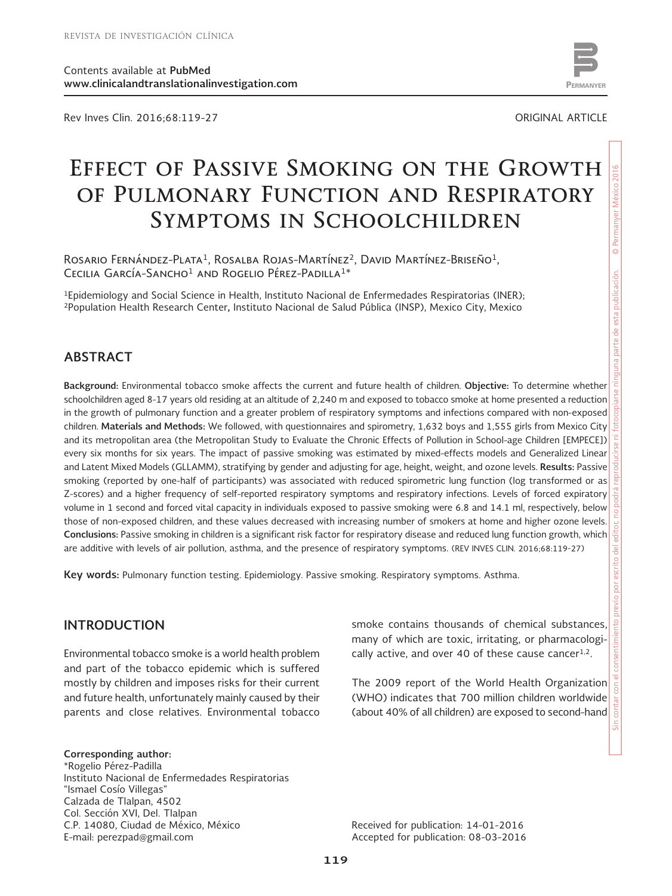Rev Inves Clin. 2016;68:119-27 ORIGINAL ARTICLE



# **Effect of Passive Smoking on the Growth of Pulmonary Function and Respiratory Symptoms in Schoolchildren**

Rosario Fernández-Plata<sup>1</sup>, Rosalba Rojas-Martínez<sup>2</sup>, David Martínez-Briseño<sup>1</sup>, CECILIA GARCÍA-SANCHO<sup>1</sup> AND ROGELIO PÉREZ-PADILLA<sup>1\*</sup>

1Epidemiology and Social Science in Health, Instituto Nacional de Enfermedades Respiratorias (INER); 2Population Health Research Center**,** Instituto Nacional de Salud Pública (INSP), Mexico City, Mexico

### **ABSTRACT**

**Background:** Environmental tobacco smoke affects the current and future health of children. **Objective:** To determine whether schoolchildren aged 8-17 years old residing at an altitude of 2,240 m and exposed to tobacco smoke at home presented a reduction in the growth of pulmonary function and a greater problem of respiratory symptoms and infections compared with non-exposed children. **Materials and Methods:** We followed, with questionnaires and spirometry, 1,632 boys and 1,555 girls from Mexico City and its metropolitan area (the Metropolitan Study to Evaluate the Chronic Effects of Pollution in School-age Children [EMPECE]) every six months for six years. The impact of passive smoking was estimated by mixed-effects models and Generalized Linear and Latent Mixed Models (GLLAMM), stratifying by gender and adjusting for age, height, weight, and ozone levels. **Results:** Passive smoking (reported by one-half of participants) was associated with reduced spirometric lung function (log transformed or as Z-scores) and a higher frequency of self-reported respiratory symptoms and respiratory infections. Levels of forced expiratory volume in 1 second and forced vital capacity in individuals exposed to passive smoking were 6.8 and 14.1 ml, respectively, below those of non-exposed children, and these values decreased with increasing number of smokers at home and higher ozone levels. **Conclusions:** Passive smoking in children is a significant risk factor for respiratory disease and reduced lung function growth, which are additive with levels of air pollution, asthma, and the presence of respiratory symptoms. (REV INVES CLIN. 2016;68:119-27)

**Key words:** Pulmonary function testing. Epidemiology. Passive smoking. Respiratory symptoms. Asthma.

### **INTRODUCTION**

Environmental tobacco smoke is a world health problem and part of the tobacco epidemic which is suffered mostly by children and imposes risks for their current and future health, unfortunately mainly caused by their parents and close relatives. Environmental tobacco

**Corresponding author:**

\*Rogelio Pérez-Padilla Instituto Nacional de Enfermedades Respiratorias "Ismael Cosío Villegas" Calzada de Tlalpan, 4502 Col. Sección XVI, Del. Tlalpan C.P. 14080, Ciudad de México, México E-mail: perezpad@gmail.com

smoke contains thousands of chemical substances, many of which are toxic, irritating, or pharmacologically active, and over 40 of these cause cancer $1,2$ .

The 2009 report of the World Health Organization (WHO) indicates that 700 million children worldwide (about 40% of all children) are exposed to second-hand

Received for publication: 14-01-2016 Accepted for publication: 08-03-2016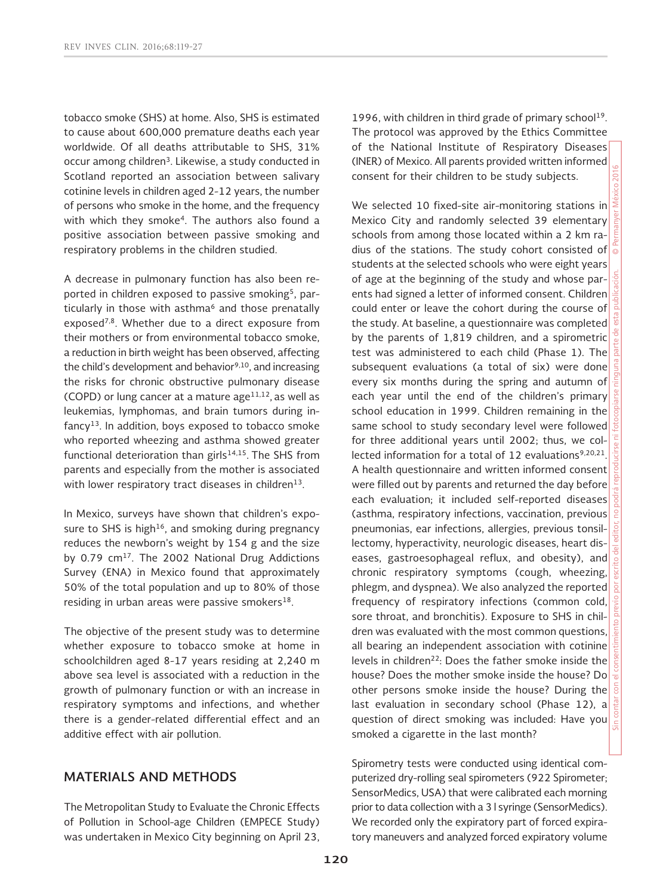tobacco smoke (SHS) at home. Also, SHS is estimated to cause about 600,000 premature deaths each year worldwide. Of all deaths attributable to SHS, 31% occur among children3. Likewise, a study conducted in Scotland reported an association between salivary cotinine levels in children aged 2-12 years, the number of persons who smoke in the home, and the frequency with which they smoke<sup>4</sup>. The authors also found a positive association between passive smoking and respiratory problems in the children studied.

A decrease in pulmonary function has also been reported in children exposed to passive smoking<sup>5</sup>, particularly in those with asthma<sup>6</sup> and those prenatally exposed<sup>7,8</sup>. Whether due to a direct exposure from their mothers or from environmental tobacco smoke, a reduction in birth weight has been observed, affecting the child's development and behavior $9,10$ , and increasing the risks for chronic obstructive pulmonary disease (COPD) or lung cancer at a mature  $age^{11,12}$ , as well as leukemias, lymphomas, and brain tumors during in $fancy<sup>13</sup>$ . In addition, boys exposed to tobacco smoke who reported wheezing and asthma showed greater functional deterioration than girls $14,15$ . The SHS from parents and especially from the mother is associated with lower respiratory tract diseases in children<sup>13</sup>.

In Mexico, surveys have shown that children's exposure to SHS is high<sup>16</sup>, and smoking during pregnancy reduces the newborn's weight by 154 g and the size by 0.79 cm<sup>17</sup>. The 2002 National Drug Addictions Survey (ENA) in Mexico found that approximately 50% of the total population and up to 80% of those residing in urban areas were passive smokers $18$ .

The objective of the present study was to determine whether exposure to tobacco smoke at home in schoolchildren aged 8-17 years residing at 2,240 m above sea level is associated with a reduction in the growth of pulmonary function or with an increase in respiratory symptoms and infections, and whether there is a gender-related differential effect and an additive effect with air pollution.

# **MATERIALS AND METHODS**

The Metropolitan Study to Evaluate the Chronic Effects of Pollution in School-age Children (EMPECE Study) was undertaken in Mexico City beginning on April 23, 1996, with children in third grade of primary school<sup>19</sup>. The protocol was approved by the Ethics Committee of the National Institute of Respiratory Diseases (INER) of Mexico. All parents provided written informed consent for their children to be study subjects.

We selected 10 fixed-site air-monitoring stations in Mexico City and randomly selected 39 elementary schools from among those located within a 2 km radius of the stations. The study cohort consisted of students at the selected schools who were eight years of age at the beginning of the study and whose parents had signed a letter of informed consent. Children could enter or leave the cohort during the course of the study. At baseline, a questionnaire was completed by the parents of 1,819 children, and a spirometric test was administered to each child (Phase 1). The subsequent evaluations (a total of six) were done every six months during the spring and autumn of each year until the end of the children's primary school education in 1999. Children remaining in the same school to study secondary level were followed for three additional years until 2002; thus, we collected information for a total of 12 evaluations<sup>9,20,21</sup>. A health questionnaire and written informed consent were filled out by parents and returned the day before each evaluation; it included self-reported diseases (asthma, respiratory infections, vaccination, previous pneumonias, ear infections, allergies, previous tonsillectomy, hyperactivity, neurologic diseases, heart diseases, gastroesophageal reflux, and obesity), and chronic respiratory symptoms (cough, wheezing, phlegm, and dyspnea). We also analyzed the reported frequency of respiratory infections (common cold, sore throat, and bronchitis). Exposure to SHS in children was evaluated with the most common questions, all bearing an independent association with cotinine levels in children22: Does the father smoke inside the house? Does the mother smoke inside the house? Do other persons smoke inside the house? During the last evaluation in secondary school (Phase 12), a question of direct smoking was included: Have you smoked a cigarette in the last month?

Spirometry tests were conducted using identical computerized dry-rolling seal spirometers (922 Spirometer; SensorMedics, USA) that were calibrated each morning prior to data collection with a 3 l syringe (SensorMedics). We recorded only the expiratory part of forced expiratory maneuvers and analyzed forced expiratory volume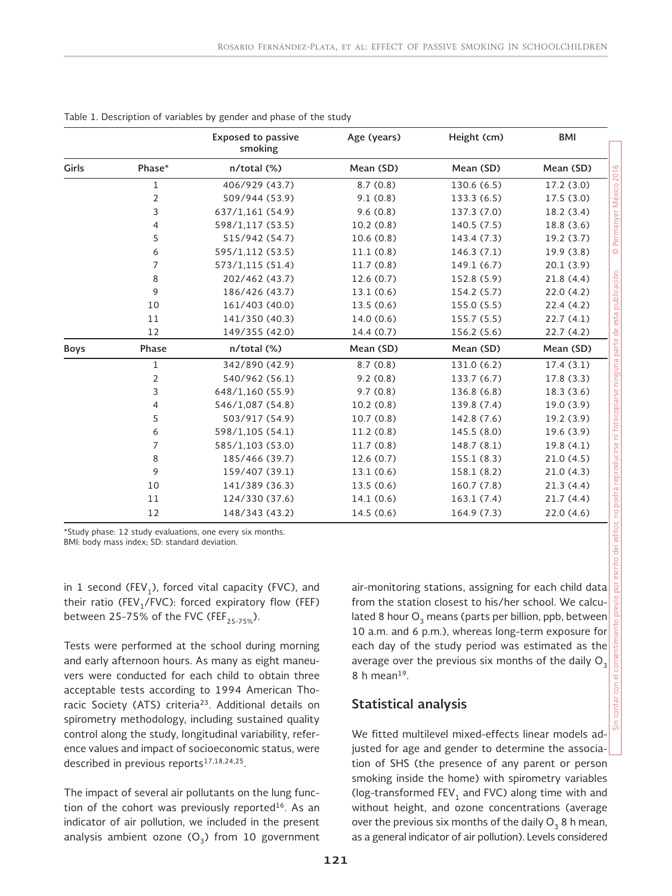|             |                | <b>Exposed to passive</b><br>smoking | Age (years) | Height (cm) | <b>BMI</b> |
|-------------|----------------|--------------------------------------|-------------|-------------|------------|
| Girls       | Phase*         | n/total (%)                          | Mean (SD)   | Mean (SD)   | Mean (SD)  |
|             | $\mathbf 1$    | 406/929 (43.7)                       | 8.7(0.8)    | 130.6 (6.5) | 17.2 (3.0) |
|             | $\overline{2}$ | 509/944 (53.9)                       | 9.1(0.8)    | 133.3 (6.5) | 17.5(3.0)  |
|             | $\mathsf{3}$   | 637/1,161 (54.9)                     | 9.6(0.8)    | 137.3 (7.0) | 18.2(3.4)  |
|             | 4              | 598/1,117 (53.5)                     | 10.2(0.8)   | 140.5 (7.5) | 18.8 (3.6) |
|             | 5              | 515/942 (54.7)                       | 10.6(0.8)   | 143.4 (7.3) | 19.2(3.7)  |
|             | 6              | 595/1,112 (53.5)                     | 11.1(0.8)   | 146.3 (7.1) | 19.9(3.8)  |
|             | $\overline{7}$ | 573/1,115 (51.4)                     | 11.7(0.8)   | 149.1 (6.7) | 20.1(3.9)  |
|             | 8              | 202/462 (43.7)                       | 12.6(0.7)   | 152.8 (5.9) | 21.8(4.4)  |
|             | 9              | 186/426 (43.7)                       | 13.1(0.6)   | 154.2 (5.7) | 22.0(4.2)  |
|             | 10             | 161/403 (40.0)                       | 13.5(0.6)   | 155.0 (5.5) | 22.4(4.2)  |
|             | 11             | 141/350 (40.3)                       | 14.0(0.6)   | 155.7 (5.5) | 22.7(4.1)  |
|             | 12             | 149/355 (42.0)                       | 14.4 (0.7)  | 156.2 (5.6) | 22.7 (4.2) |
| <b>Boys</b> | Phase          | $n$ /total $(\%)$                    | Mean (SD)   | Mean (SD)   | Mean (SD)  |
|             | 1              | 342/890 (42.9)                       | 8.7(0.8)    | 131.0 (6.2) | 17.4(3.1)  |
|             | $\overline{2}$ | 540/962 (56.1)                       | 9.2(0.8)    | 133.7 (6.7) | 17.8(3.3)  |
|             | 3              | 648/1,160 (55.9)                     | 9.7(0.8)    | 136.8 (6.8) | 18.3 (3.6) |
|             | 4              | 546/1,087 (54.8)                     | 10.2(0.8)   | 139.8 (7.4) | 19.0(3.9)  |
|             | 5              | 503/917 (54.9)                       | 10.7(0.8)   | 142.8 (7.6) | 19.2 (3.9) |
|             | 6              | 598/1,105 (54.1)                     | 11.2(0.8)   | 145.5 (8.0) | 19.6 (3.9) |
|             | 7              | 585/1,103 (53.0)                     | 11.7(0.8)   | 148.7 (8.1) | 19.8(4.1)  |
|             | 8              | 185/466 (39.7)                       | 12.6 (0.7)  | 155.1 (8.3) | 21.0(4.5)  |
|             | 9              | 159/407 (39.1)                       | 13.1(0.6)   | 158.1 (8.2) | 21.0(4.3)  |
|             | 10             | 141/389 (36.3)                       | 13.5(0.6)   | 160.7 (7.8) | 21.3(4.4)  |
|             | 11             | 124/330 (37.6)                       | 14.1(0.6)   | 163.1(7.4)  | 21.7(4.4)  |
|             | 12             | 148/343 (43.2)                       | 14.5(0.6)   | 164.9 (7.3) | 22.0(4.6)  |

Table 1. Description of variables by gender and phase of the study

\*Study phase: 12 study evaluations, one every six months. BMI: body mass index; SD: standard deviation.

in 1 second (FEV<sub>1</sub>), forced vital capacity (FVC), and their ratio (FEV<sub>1</sub>/FVC): forced expiratory flow (FEF) between 25-75% of the FVC (FEF<sub>25-75%</sub>).

Tests were performed at the school during morning and early afternoon hours. As many as eight maneuvers were conducted for each child to obtain three acceptable tests according to 1994 American Thoracic Society (ATS) criteria<sup>23</sup>. Additional details on spirometry methodology, including sustained quality control along the study, longitudinal variability, reference values and impact of socioeconomic status, were described in previous reports<sup>17,18,24,25</sup>.

The impact of several air pollutants on the lung function of the cohort was previously reported<sup>16</sup>. As an indicator of air pollution, we included in the present analysis ambient ozone  $(O_3)$  from 10 government air-monitoring stations, assigning for each child data from the station closest to his/her school. We calculated 8 hour  $O_3$  means (parts per billion, ppb, between 10 a.m. and 6 p.m.), whereas long-term exposure for each day of the study period was estimated as the average over the previous six months of the daily  $O_3$ 8 h mean $19$ .

#### **Statistical analysis**

We fitted multilevel mixed-effects linear models adjusted for age and gender to determine the association of SHS (the presence of any parent or person smoking inside the home) with spirometry variables (log-transformed  $FEV<sub>1</sub>$  and FVC) along time with and without height, and ozone concentrations (average over the previous six months of the daily  $O<sub>3</sub>$  8 h mean, as a general indicator of air pollution). Levels considered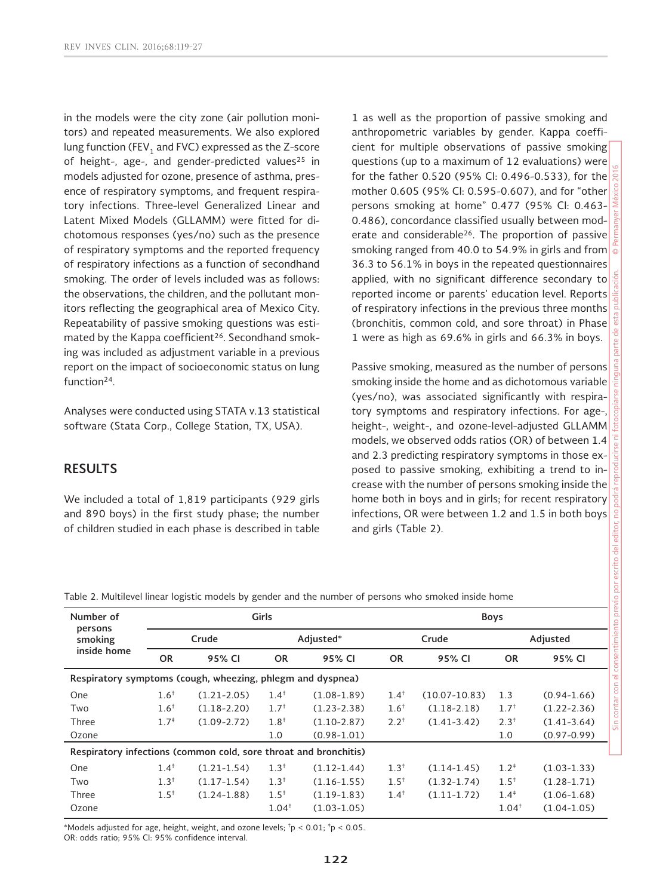in the models were the city zone (air pollution monitors) and repeated measurements. We also explored lung function (FEV, and FVC) expressed as the Z-score of height-, age-, and gender-predicted values<sup>25</sup> in models adjusted for ozone, presence of asthma, presence of respiratory symptoms, and frequent respiratory infections. Three-level Generalized Linear and Latent Mixed Models (GLLAMM) were fitted for dichotomous responses (yes/no) such as the presence of respiratory symptoms and the reported frequency of respiratory infections as a function of secondhand smoking. The order of levels included was as follows: the observations, the children, and the pollutant monitors reflecting the geographical area of Mexico City. Repeatability of passive smoking questions was estimated by the Kappa coefficient<sup>26</sup>. Secondhand smoking was included as adjustment variable in a previous report on the impact of socioeconomic status on lung function<sup>24</sup>.

Analyses were conducted using STATA v.13 statistical software (Stata Corp., College Station, TX, USA).

# **RESULTS**

We included a total of 1,819 participants (929 girls and 890 boys) in the first study phase; the number of children studied in each phase is described in table 1 as well as the proportion of passive smoking and anthropometric variables by gender. Kappa coefficient for multiple observations of passive smoking questions (up to a maximum of 12 evaluations) were for the father 0.520 (95% CI: 0.496-0.533), for the mother 0.605 (95% CI: 0.595-0.607), and for "other persons smoking at home" 0.477 (95% CI: 0.463- 0.486), concordance classified usually between moderate and considerable<sup>26</sup>. The proportion of passive smoking ranged from 40.0 to 54.9% in girls and from 36.3 to 56.1% in boys in the repeated questionnaires applied, with no significant difference secondary to reported income or parents' education level. Reports of respiratory infections in the previous three months (bronchitis, common cold, and sore throat) in Phase 1 were as high as 69.6% in girls and 66.3% in boys.

Passive smoking, measured as the number of persons smoking inside the home and as dichotomous variable (yes/no), was associated significantly with respiratory symptoms and respiratory infections. For age-, height-, weight-, and ozone-level-adjusted GLLAMM models, we observed odds ratios (OR) of between 1.4 and 2.3 predicting respiratory symptoms in those exposed to passive smoking, exhibiting a trend to increase with the number of persons smoking inside the home both in boys and in girls; for recent respiratory infections, OR were between 1.2 and 1.5 in both boys and girls (Table 2).

|  |  | Table 2. Multilevel linear logistic models by gender and the number of persons who smoked inside home |  |  |
|--|--|-------------------------------------------------------------------------------------------------------|--|--|
|  |  |                                                                                                       |  |  |

| Number of<br>persons                                             | Girls     |                 |                   |                 | <b>Boys</b> |                   |           |                 |  |
|------------------------------------------------------------------|-----------|-----------------|-------------------|-----------------|-------------|-------------------|-----------|-----------------|--|
| smoking                                                          | Crude     |                 | Adjusted*         |                 |             | Crude             | Adjusted  |                 |  |
| inside home                                                      | <b>OR</b> | 95% CI          | <b>OR</b>         | 95% CI          | <b>OR</b>   | 95% CI            | <b>OR</b> | 95% CI          |  |
| Respiratory symptoms (cough, wheezing, phlegm and dyspnea)       |           |                 |                   |                 |             |                   |           |                 |  |
| One                                                              | $1.6^+$   | $(1.21 - 2.05)$ | $1.4^{\dagger}$   | $(1.08-1.89)$   | $1.4^+$     | $(10.07 - 10.83)$ | 1.3       | $(0.94 - 1.66)$ |  |
| Two                                                              | $1.6^+$   | $(1.18 - 2.20)$ | $1.7^{+}$         | $(1.23 - 2.38)$ | $1.6^{+}$   | $(1.18 - 2.18)$   | $1.7^{+}$ | $(1.22 - 2.36)$ |  |
| Three                                                            | $1.7^{*}$ | $(1.09 - 2.72)$ | $1.8^{+}$         | $(1.10-2.87)$   | $2.2^{+}$   | $(1.41 - 3.42)$   | $2.3^{+}$ | $(1.41 - 3.64)$ |  |
| Ozone                                                            |           |                 | 1.0               | $(0.98 - 1.01)$ |             |                   | 1.0       | $(0.97 - 0.99)$ |  |
| Respiratory infections (common cold, sore throat and bronchitis) |           |                 |                   |                 |             |                   |           |                 |  |
| One                                                              | $1.4^+$   | $(1.21 - 1.54)$ | $1.3^{+}$         | $(1.12 - 1.44)$ | $1.3^{+}$   | $(1.14 - 1.45)$   | $1.2^{*}$ | $(1.03-1.33)$   |  |
| Two                                                              | $1.3^{+}$ | $(1.17-1.54)$   | $1.3^{+}$         | $(1.16 - 1.55)$ | $1.5^{+}$   | $(1.32 - 1.74)$   | $1.5^{+}$ | $(1.28 - 1.71)$ |  |
| Three                                                            | $1.5^{+}$ | $(1.24 - 1.88)$ | $1.5^{+}$         | $(1.19-1.83)$   | $1.4^+$     | $(1.11-1.72)$     | $1.4^{*}$ | $(1.06 - 1.68)$ |  |
| Ozone                                                            |           |                 | 1.04 <sup>†</sup> | $(1.03 - 1.05)$ |             |                   | $1.04^+$  | $(1.04 - 1.05)$ |  |

\*Models adjusted for age, height, weight, and ozone levels;  $\textsuperscript{t}p$  < 0.01;  $\textsuperscript{t}p$  < 0.05. OR: odds ratio; 95% CI: 95% confidence interval.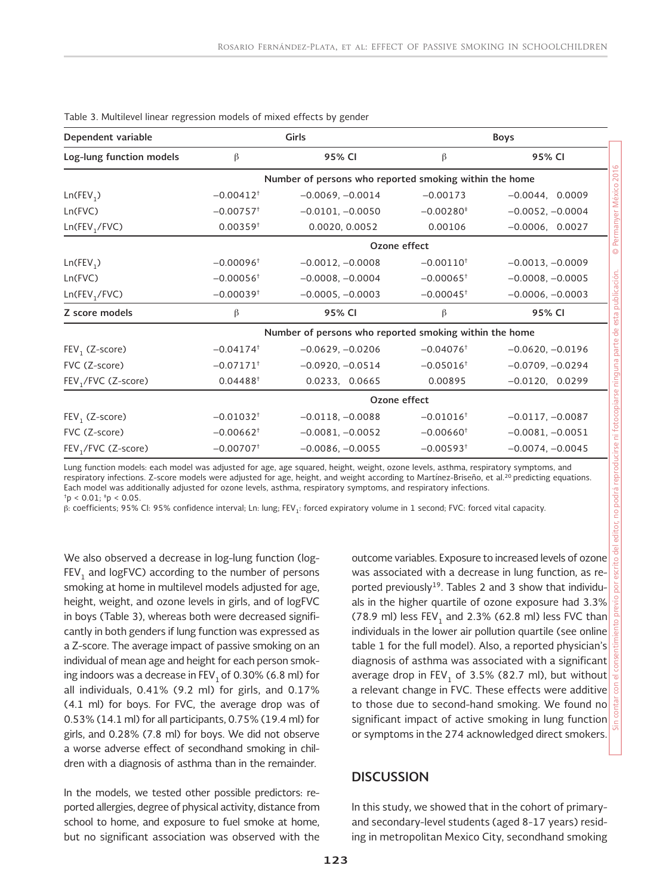| Dependent variable                       |                         | Girls                                                  | Boys                                                   |                    |  |  |  |
|------------------------------------------|-------------------------|--------------------------------------------------------|--------------------------------------------------------|--------------------|--|--|--|
| Log-lung function models                 | β                       | 95% CI                                                 | β                                                      | 95% CI             |  |  |  |
|                                          |                         |                                                        | Number of persons who reported smoking within the home |                    |  |  |  |
| Ln(FEV <sub>1</sub> )                    | $-0.00412$ <sup>+</sup> | $-0.0069, -0.0014$                                     | $-0.00173$                                             | $-0.0044$ , 0.0009 |  |  |  |
| Ln(FVC)                                  | $-0.00757$ <sup>+</sup> | $-0.0101, -0.0050$                                     | $-0.00280*$                                            | $-0.0052, -0.0004$ |  |  |  |
| Ln(FEV <sub>1</sub> /FVC)                | $0.00359$ <sup>+</sup>  | 0.0020, 0.0052                                         | 0.00106                                                | $-0.0006, 0.0027$  |  |  |  |
|                                          |                         | Ozone effect                                           |                                                        |                    |  |  |  |
| Ln(FEV <sub>1</sub> )                    | $-0.00096$ <sup>+</sup> | $-0.0012, -0.0008$                                     | $-0.00110$ <sup>+</sup>                                | $-0.0013, -0.0009$ |  |  |  |
| Ln(FVC)                                  | $-0.00056^+$            | $-0.0008, -0.0004$                                     | $-0.00065^+$                                           | $-0.0008, -0.0005$ |  |  |  |
| $-0.00039$ <sup>+</sup><br>Ln(FEV, /FVC) |                         | $-0.0005, -0.0003$                                     | $-0.00045$ <sup>+</sup>                                | $-0.0006, -0.0003$ |  |  |  |
| Z score models                           | β                       | 95% CI                                                 | β                                                      | 95% CI             |  |  |  |
|                                          |                         | Number of persons who reported smoking within the home |                                                        |                    |  |  |  |
| $FEV1$ (Z-score)                         | $-0.04174$ <sup>+</sup> | $-0.0629, -0.0206$                                     | $-0.04076$ <sup>+</sup>                                | $-0.0620, -0.0196$ |  |  |  |
| FVC (Z-score)                            | $-0.07171$ <sup>+</sup> | $-0.0920, -0.0514$                                     | $-0.05016$ <sup>+</sup>                                | $-0.0709, -0.0294$ |  |  |  |
| FEV <sub>1</sub> /FVC (Z-score)          | $0.04488^+$             | 0.0233, 0.0665                                         | 0.00895                                                | $-0.0120, 0.0299$  |  |  |  |
|                                          |                         | Ozone effect                                           |                                                        |                    |  |  |  |
| $FEV1$ (Z-score)                         | $-0.01032$ <sup>+</sup> | $-0.0118, -0.0088$                                     | $-0.01016$ <sup>+</sup>                                | $-0.0117, -0.0087$ |  |  |  |
| FVC (Z-score)                            | $-0.00662$ <sup>+</sup> | $-0.0081, -0.0052$                                     | $-0.00660^+$                                           | $-0.0081, -0.0051$ |  |  |  |
| FEV <sub>1</sub> /FVC (Z-score)          | $-0.00707$ <sup>+</sup> | $-0.0086, -0.0055$                                     | $-0.00593$ <sup>+</sup>                                | $-0.0074, -0.0045$ |  |  |  |

Table 3. Multilevel linear regression models of mixed effects by gender

Lung function models: each model was adjusted for age, age squared, height, weight, ozone levels, asthma, respiratory symptoms, and respiratory infections. Z-score models were adjusted for age, height, and weight according to Martínez-Briseño, et al.<sup>20</sup> predicting equations. Each model was additionally adjusted for ozone levels, asthma, respiratory symptoms, and respiratory infections.  $<sup>†</sup>p < 0.01$ ;  $<sup>†</sup>p < 0.05$ .</sup></sup>

β: coefficients; 95% CI: 95% confidence interval; Ln: lung; FEV1: forced expiratory volume in 1 second; FVC: forced vital capacity.

We also observed a decrease in log-lung function (log- $FEV<sub>1</sub>$  and logFVC) according to the number of persons smoking at home in multilevel models adjusted for age, height, weight, and ozone levels in girls, and of logFVC in boys (Table 3), whereas both were decreased significantly in both genders if lung function was expressed as a Z-score. The average impact of passive smoking on an individual of mean age and height for each person smoking indoors was a decrease in  $FEV<sub>1</sub>$  of 0.30% (6.8 ml) for all individuals, 0.41% (9.2 ml) for girls, and 0.17% (4.1 ml) for boys. For FVC, the average drop was of 0.53% (14.1 ml) for all participants, 0.75% (19.4 ml) for girls, and 0.28% (7.8 ml) for boys. We did not observe a worse adverse effect of secondhand smoking in children with a diagnosis of asthma than in the remainder.

In the models, we tested other possible predictors: reported allergies, degree of physical activity, distance from school to home, and exposure to fuel smoke at home, but no significant association was observed with the

outcome variables. Exposure to increased levels of ozone was associated with a decrease in lung function, as reported previously<sup>19</sup>. Tables 2 and 3 show that individuals in the higher quartile of ozone exposure had 3.3% (78.9 ml) less  $FEV<sub>1</sub>$  and 2.3% (62.8 ml) less FVC than individuals in the lower air pollution quartile (see online table 1 for the full model). Also, a reported physician's diagnosis of asthma was associated with a significant average drop in  $FEV<sub>1</sub>$  of 3.5% (82.7 ml), but without a relevant change in FVC. These effects were additive to those due to second-hand smoking. We found no significant impact of active smoking in lung function or symptoms in the 274 acknowledged direct smokers.

#### **DISCUSSION**

In this study, we showed that in the cohort of primaryand secondary-level students (aged 8-17 years) residing in metropolitan Mexico City, secondhand smoking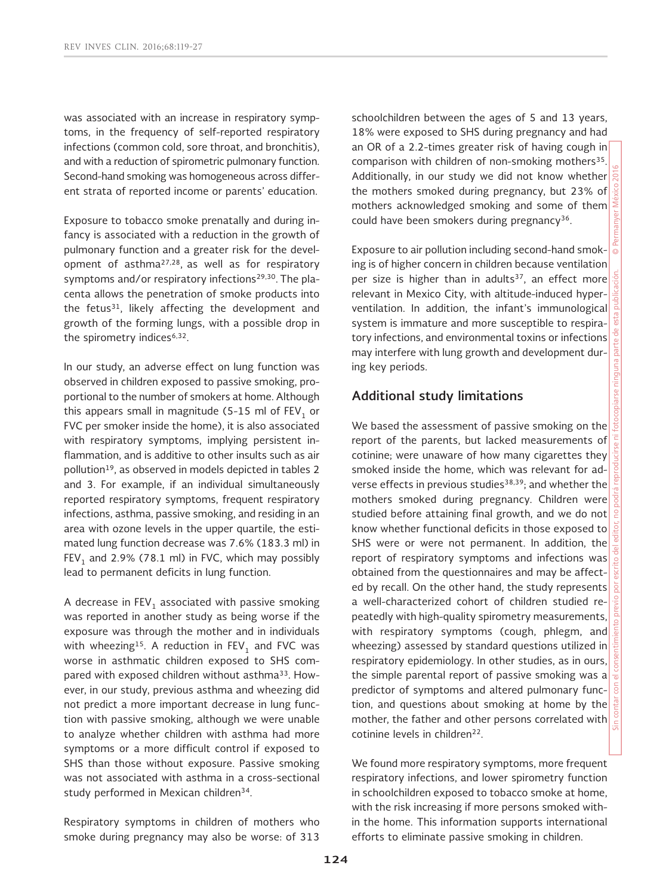was associated with an increase in respiratory symptoms, in the frequency of self-reported respiratory infections (common cold, sore throat, and bronchitis), and with a reduction of spirometric pulmonary function. Second-hand smoking was homogeneous across different strata of reported income or parents' education.

Exposure to tobacco smoke prenatally and during infancy is associated with a reduction in the growth of pulmonary function and a greater risk for the development of asthma27,28, as well as for respiratory symptoms and/or respiratory infections<sup>29,30</sup>. The placenta allows the penetration of smoke products into the fetus $31$ , likely affecting the development and growth of the forming lungs, with a possible drop in the spirometry indices<sup>6,32</sup>.

In our study, an adverse effect on lung function was observed in children exposed to passive smoking, proportional to the number of smokers at home. Although this appears small in magnitude (5-15 ml of  $FEV<sub>1</sub>$  or FVC per smoker inside the home), it is also associated with respiratory symptoms, implying persistent inflammation, and is additive to other insults such as air pollution<sup>19</sup>, as observed in models depicted in tables 2 and 3. For example, if an individual simultaneously reported respiratory symptoms, frequent respiratory infections, asthma, passive smoking, and residing in an area with ozone levels in the upper quartile, the estimated lung function decrease was 7.6% (183.3 ml) in FEV<sub>1</sub> and 2.9% (78.1 ml) in FVC, which may possibly lead to permanent deficits in lung function.

A decrease in  $FEV<sub>1</sub>$  associated with passive smoking was reported in another study as being worse if the exposure was through the mother and in individuals with wheezing<sup>15</sup>. A reduction in  $FEV<sub>1</sub>$  and FVC was worse in asthmatic children exposed to SHS compared with exposed children without asthma<sup>33</sup>. However, in our study, previous asthma and wheezing did not predict a more important decrease in lung function with passive smoking, although we were unable to analyze whether children with asthma had more symptoms or a more difficult control if exposed to SHS than those without exposure. Passive smoking was not associated with asthma in a cross-sectional study performed in Mexican children<sup>34</sup>.

Respiratory symptoms in children of mothers who smoke during pregnancy may also be worse: of 313 schoolchildren between the ages of 5 and 13 years, 18% were exposed to SHS during pregnancy and had an OR of a 2.2-times greater risk of having cough in comparison with children of non-smoking mothers<sup>35</sup>. Additionally, in our study we did not know whether the mothers smoked during pregnancy, but 23% of mothers acknowledged smoking and some of them could have been smokers during pregnancy<sup>36</sup>.

Exposure to air pollution including second-hand smoking is of higher concern in children because ventilation per size is higher than in adults<sup>37</sup>, an effect more relevant in Mexico City, with altitude-induced hyperventilation. In addition, the infant's immunological system is immature and more susceptible to respiratory infections, and environmental toxins or infections may interfere with lung growth and development during key periods.

# **Additional study limitations**

We based the assessment of passive smoking on the report of the parents, but lacked measurements of cotinine; were unaware of how many cigarettes they smoked inside the home, which was relevant for adverse effects in previous studies<sup>38,39</sup>; and whether the mothers smoked during pregnancy. Children were studied before attaining final growth, and we do not know whether functional deficits in those exposed to SHS were or were not permanent. In addition, the report of respiratory symptoms and infections was obtained from the questionnaires and may be affected by recall. On the other hand, the study represents a well-characterized cohort of children studied repeatedly with high-quality spirometry measurements, with respiratory symptoms (cough, phlegm, and wheezing) assessed by standard questions utilized in respiratory epidemiology. In other studies, as in ours, the simple parental report of passive smoking was a predictor of symptoms and altered pulmonary function, and questions about smoking at home by the mother, the father and other persons correlated with cotinine levels in children<sup>22</sup>.

We found more respiratory symptoms, more frequent respiratory infections, and lower spirometry function in schoolchildren exposed to tobacco smoke at home, with the risk increasing if more persons smoked within the home. This information supports international efforts to eliminate passive smoking in children.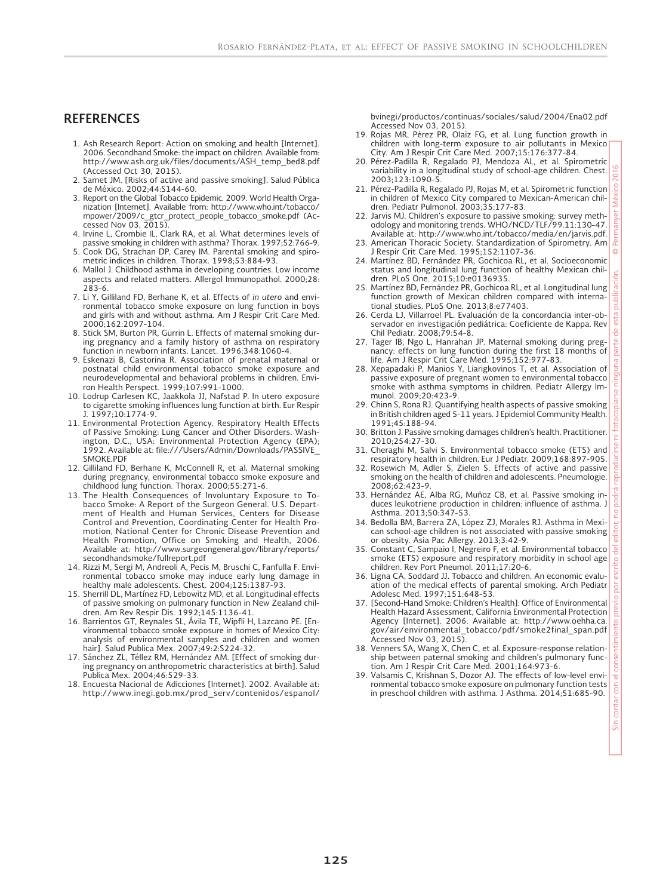#### **REFERENCES**

- 1. Ash Research Report: Action on smoking and health [Internet]. 2006. Secondhand Smoke: the impact on children. Available from: http://www.ash.org.uk/files/documents/ASH\_temp\_bed8.pdf
- (Accessed Oct 30, 2015). 2. Samet JM. [Risks of active and passive smoking]. Salud Pública de México. 2002;44:S144-60.
- 3. Report on the Global Tobacco Epidemic. 2009. World Health Organization [Internet]. Available from: http://www.who.int/tobacco/ mpower/2009/c\_gtcr\_protect\_people\_tobacco\_smoke.pdf (Ac-cessed Nov 03, 2015).
- 4. Irvine L, Crombie IL, Clark RA, et al. What determines levels of
- passive smoking in children with asthma? Thorax. 1997;52:766-9. 5. Cook DG, Strachan DP, Carey IM. Parental smoking and spirometric indices in children. Thorax. 1998;53:884-93.
- 6. Mallol J. Childhood asthma in developing countries. Low income aspects and related matters. Allergol Immunopathol. 2000;28: 283-6.
- 7. Li Y, Gilliland FD, Berhane K, et al. Effects of *in utero* and environmental tobacco smoke exposure on lung function in boys and girls with and without asthma. Am J Respir Crit Care Med. 2000;162:2097-104.
- 8. Stick SM, Burton PR, Gurrin L. Effects of maternal smoking during pregnancy and a family history of asthma on respiratory function in newborn infants. Lancet. 1996;348:1060-4.
- 9. Eskenazi B, Castorina R. Association of prenatal maternal or postnatal child environmental tobacco smoke exposure and neurodevelopmental and behavioral problems in children. Environ Health Perspect. 1999;107:991-1000.
- 10. Lodrup Carlesen KC, Jaakkola JJ, Nafstad P. In utero exposure to cigarette smoking influences lung function at birth. Eur Respir J. 1997;10:1774-9.
- 11. Environmental Protection Agency. Respiratory Health Effects of Passive Smoking: Lung Cancer and Other Disorders. Washington, D.C., USA: Environmental Protection Agency (EPA); 1992. Available at: file:///Users/Admin/Downloads/PASSIVE\_ SMOKE.PDF
- 12. Gilliland FD, Berhane K, McConnell R, et al. Maternal smoking during pregnancy, environmental tobacco smoke exposure and childhood lung function. Thorax. 2000;55:271-6.
- 13. The Health Consequences of Involuntary Exposure to To-bacco Smoke: A Report of the Surgeon General. U.S. Department of Health and Human Services, Centers for Disease Control and Prevention, Coordinating Center for Health Pro-motion, National Center for Chronic Disease Prevention and Health Promotion, Office on Smoking and Health, 2006. Available at: http://www.surgeongeneral.gov/library/reports/ secondhandsmoke/fullreport.pdf
- 14. Rizzi M, Sergi M, Andreoli A, Pecis M, Bruschi C, Fanfulla F. Environmental tobacco smoke may induce early lung damage in healthy male adolescents. Chest. 2004;125:1387-93.
- 15. Sherrill DL, Martinez FD, Lebowitz MD, et al. Longitudinal effects of passive smoking on pulmonary function in New Zealand children. Am Rev Respir Dis. 1992;145:1136-41.
- 16. Barrientos GT, Reynales SL, Ávila TE, Wipfli H, Lazcano PE. [Environmental tobacco smoke exposure in homes of Mexico City: analysis of environmental samples and children and women hair]. Salud Publica Mex. 2007;49:2:S224-32.
- 17. Sánchez ZL, Téllez RM, Hernández AM. [Effect of smoking during pregnancy on anthropometric characteristics at birth]. Salud Publica Mex. 2004;46:529-33.
- 18. Encuesta Nacional de Adicciones [Internet]. 2002. Available at: http://www.inegi.gob.mx/prod\_serv/contenidos/espanol/

bvinegi/productos/continuas/sociales/salud/2004/Ena02.pdf Accessed Nov 03, 2015).

- 19. Rojas MR, Pérez PR, Olaiz FG, et al. Lung function growth in children with long-term exposure to air pollutants in Mexico City. Am J Respir Crit Care Med. 2007;15:176:377-84.
- 20. Pérez-Padilla R, Regalado PJ, Mendoza AL, et al. Spirometric variability in a longitudinal study of school-age children. Chest. 2003;123:1090-5.
- 21. Pérez-Padilla R, Regalado PJ, Rojas M, et al. Spirometric function in children of Mexico City compared to Mexican-American children. Pediatr Pulmonol. 2003;35:177-83.
- 22. Jarvis MJ. Children's exposure to passive smoking: survey meth-odology and monitoring trends. WHO/NCD/TLF/99.11:130-47. Available at: http://www.who.int/tobacco/media/en/jarvis.pdf.
- 23. American Thoracic Society. Standardization of Spirometry. Am J Respir Crit Care Med. 1995;152:1107-36.
- 24. Martínez BD, Fernández PR, Gochicoa RL, et al. Socioeconomic status and longitudinal lung function of healthy Mexican children. PLoS One. 2015;10:e0136935.
- 25. Martínez BD, Fernández PR, Gochicoa RL, et al. Longitudinal lung function growth of Mexican children compared with interna
- tional studies. PLoS One. 2013;8:e77403. 26. Cerda LJ, Villarroel PL. Evaluación de la concordancia inter-observador en investigación pediátrica: Coeficiente de Kappa. Rev Chil Pediatr. 2008;79:54-8.
- 27. Tager IB, Ngo L, Hanrahan JP. Maternal smoking during pregnancy: effects on lung function during the first 18 months of life. Am J Respir Crit Care Med. 1995;152:977-83.
- 28. Xepapadaki P, Manios Y, Liarigkovinos T, et al. Association of passive exposure of pregnant women to environmental tobacco smoke with asthma symptoms in children. Pediatr Allergy Immunol. 2009;20:423-9.
- 29. Chinn S, Rona RJ. Quantifying health aspects of passive smoking in British children aged 5-11 years. J Epidemiol Community Health. 1991;45:188-94.
- 30. Britton J. Passive smoking damages children's health. Practitioner. 2010;254:27-30.
- 31. Cheraghi M, Salvi S. Environmental tobacco smoke (ETS) and respiratory health in children. Eur J Pediatr. 2009;168:897-905.
- 32. Rosewich M, Adler S, Zielen S. Effects of active and passive smoking on the health of children and adolescents. Pneumologie. 2008;62:423-9.
- 33. Hernández AE, Alba RG, Muñoz CB, et al. Passive smoking induces leukotriene production in children: influence of asthma. J Asthma. 2013;50:347-53.
- 34. Bedolla BM, Barrera ZA, López ZJ, Morales RJ. Asthma in Mexican school-age children is not associated with passive smoking or obesity. Asia Pac Allergy. 2013;3:42-9.
- 35. Constant C, Sampaio I, Negreiro F, et al. Environmental tobacco smoke (ETS) exposure and respiratory morbidity in school age children. Rev Port Pneumol. 2011;17:20-6.
- 36. Ligna CA, Soddard JJ. Tobacco and children. An economic evaluation of the medical effects of parental smoking. Arch Pediatr Adolesc Med. 1997;151:648-53.
- 37. [Second-Hand Smoke: Children's Health]. Office of Environmental Health Hazard Assessment, California Environmental Protection Agency [Internet]. 2006. Available at: http://www.oehha.ca. gov/air/environmental\_tobacco/pdf/smoke2final\_span.pdf Accessed Nov 03, 2015).
- 38. Venners SA, Wang X, Chen C, et al. Exposure-response relationship between paternal smoking and children's pulmonary function. Am J Respir Crit Care Med. 2001;164:973-6.
- 39. Valsamis C, Krishnan S, Dozor AJ. The effects of low-level environmental tobacco smoke exposure on pulmonary function tests in preschool children with asthma. J Asthma. 2014;51:685-90.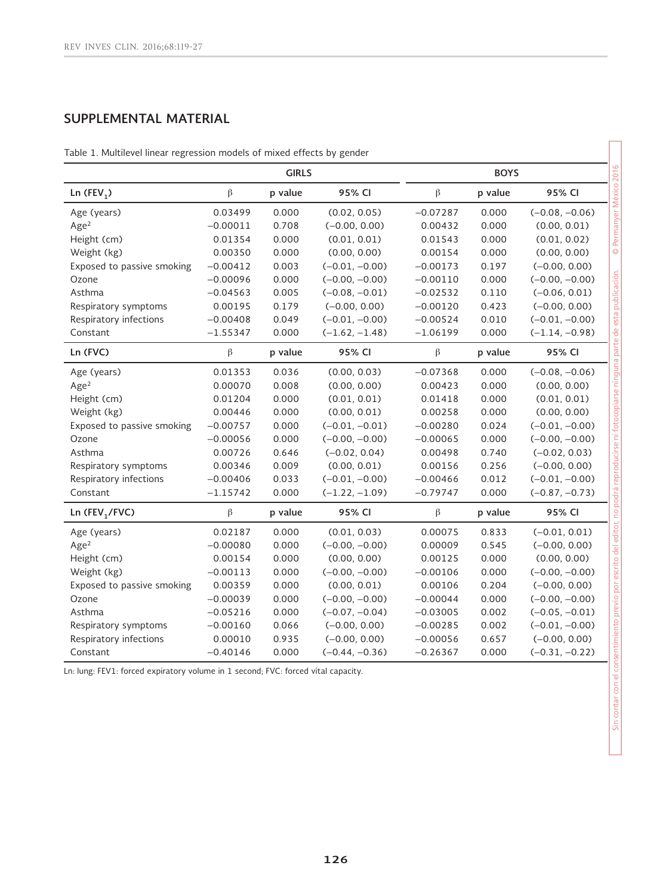# **SUPPLEMENTAL MATERIAL**

Table 1. Multilevel linear regression models of mixed effects by gender

|                            | <b>GIRLS</b> |         |                  |            | <b>BOYS</b> |                  |  |  |
|----------------------------|--------------|---------|------------------|------------|-------------|------------------|--|--|
| Ln $(FEV_1)$               | $\beta$      | p value | 95% CI           | $\beta$    | p value     | 95% CI           |  |  |
| Age (years)                | 0.03499      | 0.000   | (0.02, 0.05)     | $-0.07287$ | 0.000       | $(-0.08, -0.06)$ |  |  |
| Age <sup>2</sup>           | $-0.00011$   | 0.708   | $(-0.00, 0.00)$  | 0.00432    | 0.000       | (0.00, 0.01)     |  |  |
| Height (cm)                | 0.01354      | 0.000   | (0.01, 0.01)     | 0.01543    | 0.000       | (0.01, 0.02)     |  |  |
| Weight (kg)                | 0.00350      | 0.000   | (0.00, 0.00)     | 0.00154    | 0.000       | (0.00, 0.00)     |  |  |
| Exposed to passive smoking | $-0.00412$   | 0.003   | $(-0.01, -0.00)$ | $-0.00173$ | 0.197       | $(-0.00, 0.00)$  |  |  |
| Ozone                      | $-0.00096$   | 0.000   | $(-0.00, -0.00)$ | $-0.00110$ | 0.000       | $(-0.00, -0.00)$ |  |  |
| Asthma                     | $-0.04563$   | 0.005   | $(-0.08, -0.01)$ | $-0.02532$ | 0.110       | $(-0.06, 0.01)$  |  |  |
| Respiratory symptoms       | 0.00195      | 0.179   | $(-0.00, 0.00)$  | $-0.00120$ | 0.423       | $(-0.00, 0.00)$  |  |  |
| Respiratory infections     | $-0.00408$   | 0.049   | $(-0.01, -0.00)$ | $-0.00524$ | 0.010       | $(-0.01, -0.00)$ |  |  |
| Constant                   | $-1.55347$   | 0.000   | $(-1.62, -1.48)$ | $-1.06199$ | 0.000       | $(-1.14, -0.98)$ |  |  |
| Ln (FVC)                   | $\beta$      | p value | 95% CI           | $\beta$    | p value     | 95% CI           |  |  |
| Age (years)                | 0.01353      | 0.036   | (0.00, 0.03)     | $-0.07368$ | 0.000       | $(-0.08, -0.06)$ |  |  |
| Age <sup>2</sup>           | 0.00070      | 0.008   | (0.00, 0.00)     | 0.00423    | 0.000       | (0.00, 0.00)     |  |  |
| Height (cm)                | 0.01204      | 0.000   | (0.01, 0.01)     | 0.01418    | 0.000       | (0.01, 0.01)     |  |  |
| Weight (kg)                | 0.00446      | 0.000   | (0.00, 0.01)     | 0.00258    | 0.000       | (0.00, 0.00)     |  |  |
| Exposed to passive smoking | $-0.00757$   | 0.000   | $(-0.01, -0.01)$ | $-0.00280$ | 0.024       | $(-0.01, -0.00)$ |  |  |
| Ozone                      | $-0.00056$   | 0.000   | $(-0.00, -0.00)$ | $-0.00065$ | 0.000       | $(-0.00, -0.00)$ |  |  |
| Asthma                     | 0.00726      | 0.646   | $(-0.02, 0.04)$  | 0.00498    | 0.740       | $(-0.02, 0.03)$  |  |  |
| Respiratory symptoms       | 0.00346      | 0.009   | (0.00, 0.01)     | 0.00156    | 0.256       | $(-0.00, 0.00)$  |  |  |
| Respiratory infections     | $-0.00406$   | 0.033   | $(-0.01, -0.00)$ | $-0.00466$ | 0.012       | $(-0.01, -0.00)$ |  |  |
| Constant                   | $-1.15742$   | 0.000   | $(-1.22, -1.09)$ | $-0.79747$ | 0.000       | $(-0.87, -0.73)$ |  |  |
| Ln (FEV <sub>1</sub> /FVC) | $\beta$      | p value | 95% CI           | $\beta$    | p value     | 95% CI           |  |  |
| Age (years)                | 0.02187      | 0.000   | (0.01, 0.03)     | 0.00075    | 0.833       | $(-0.01, 0.01)$  |  |  |
| Age <sup>2</sup>           | $-0.00080$   | 0.000   | $(-0.00, -0.00)$ | 0.00009    | 0.545       | $(-0.00, 0.00)$  |  |  |
| Height (cm)                | 0.00154      | 0.000   | (0.00, 0.00)     | 0.00125    | 0.000       | (0.00, 0.00)     |  |  |
| Weight (kg)                | $-0.00113$   | 0.000   | $(-0.00, -0.00)$ | $-0.00106$ | 0.000       | $(-0.00, -0.00)$ |  |  |
| Exposed to passive smoking | 0.00359      | 0.000   | (0.00, 0.01)     | 0.00106    | 0.204       | $(-0.00, 0.00)$  |  |  |
| Ozone                      | $-0.00039$   | 0.000   | $(-0.00, -0.00)$ | $-0.00044$ | 0.000       | $(-0.00, -0.00)$ |  |  |
| Asthma                     | $-0.05216$   | 0.000   | $(-0.07, -0.04)$ | $-0.03005$ | 0.002       | $(-0.05, -0.01)$ |  |  |
| Respiratory symptoms       | $-0.00160$   | 0.066   | $(-0.00, 0.00)$  | $-0.00285$ | 0.002       | $(-0.01, -0.00)$ |  |  |
| Respiratory infections     | 0.00010      | 0.935   | $(-0.00, 0.00)$  | $-0.00056$ | 0.657       | $(-0.00, 0.00)$  |  |  |
| Constant                   | $-0.40146$   | 0.000   | $(-0.44, -0.36)$ | $-0.26367$ | 0.000       | $(-0.31, -0.22)$ |  |  |

Ln: lung: FEV1: forced expiratory volume in 1 second; FVC: forced vital capacity.